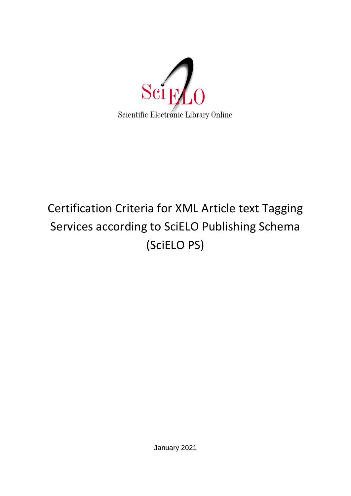

# Certification Criteria for XML Article text Tagging Services according to SciELO Publishing Schema (SciELO PS)

January 2021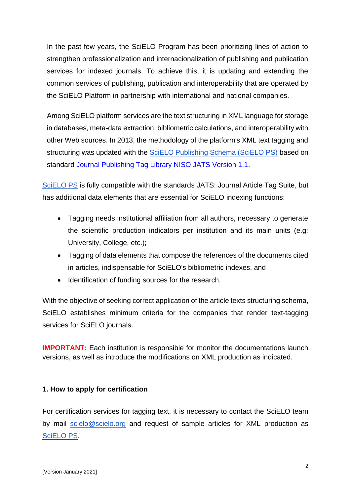In the past few years, the SciELO Program has been prioritizing lines of action to strengthen professionalization and internacionalization of publishing and publication services for indexed journals. To achieve this, it is updating and extending the common services of publishing, publication and interoperability that are operated by the SciELO Platform in partnership with international and national companies.

Among SciELO platform services are the text structuring in XML language for storage in databases, meta-data extraction, bibliometric calculations, and interoperability with other Web sources. In 2013, the methodology of the platform's XML text tagging and structuring was updated with the **SciELO Publishing Schema (SciELO PS)** based on standard [Journal Publishing Tag Library NISO JATS Version 1.1.](https://jats.nlm.nih.gov/publishing/tag-library/1.1/)

[SciELO PS](https://scielo.readthedocs.io/projects/scielo-publishing-schema/pt_BR/latest/narr/retratacao.html) is fully compatible with the standards JATS: Journal Article Tag Suite, but has additional data elements that are essential for SciELO indexing functions:

- Tagging needs institutional affiliation from all authors, necessary to generate the scientific production indicators per institution and its main units (e.g: University, College, etc.);
- Tagging of data elements that compose the references of the documents cited in articles, indispensable for SciELO's bibliometric indexes, and
- Identification of funding sources for the research.

With the objective of seeking correct application of the article texts structuring schema, SciELO establishes minimum criteria for the companies that render text-tagging services for SciELO journals.

**IMPORTANT:** Each institution is responsible for monitor the documentations launch versions, as well as introduce the modifications on XML production as indicated.

### **1. How to apply for certification**

For certification services for tagging text, it is necessary to contact the SciELO team by mail [scielo@scielo.org](mailto:scielo@scielo.org) and request of sample articles for XML production as [SciELO PS.](https://scielo.readthedocs.io/projects/scielo-publishing-schema/pt_BR/latest/narr/retratacao.html)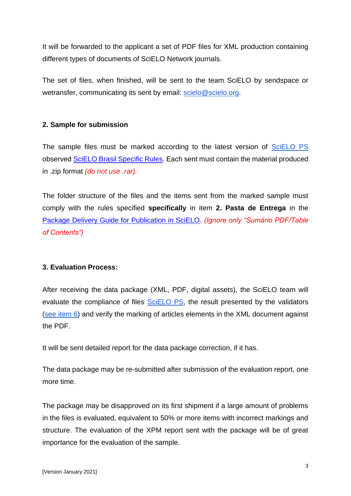It will be forwarded to the applicant a set of PDF files for XML production containing different types of documents of SciELO Network journals.

The set of files, when finished, will be sent to the team SciELO by sendspace or wetransfer, communicating its sent by email: [scielo@scielo.org.](mailto:scielo@scielo.org)

## **2. Sample for submission**

The sample files must be marked according to the latest version of [SciELO PS](https://scielo.readthedocs.io/projects/scielo-publishing-schema/pt_BR/latest/narr/retratacao.html) observed [SciELO Brasil Specific Rules.](https://scielo.readthedocs.io/projects/scielo-publishing-schema/pt_BR/latest/narr/scielo-brasil.html) Each sent must contain the material produced in .zip format *(do not use .rar).*

The folder structure of the files and the items sent from the marked sample must comply with the rules specified **specifically** in item **2. Pasta de Entrega** in the [Package Delivery Guide for Publication in SciELO.](https://wp.scielo.org/wp-content/uploads/guia_entrega_pacotes.pdf) *(Ignore only "Sumário PDF/Table of Contents")*

### **3. Evaluation Process:**

After receiving the data package (XML, PDF, digital assets), the SciELO team will evaluate the compliance of files [SciELO PS,](https://scielo.readthedocs.io/projects/scielo-publishing-schema/pt_BR/latest/narr/scielo-brasil.html) the result presented by the validators [\(see item 6\)](#page-4-0) and verify the marking of articles elements in the XML document against the PDF.

It will be sent detailed report for the data package correction, if it has.

The data package may be re-submitted after submission of the evaluation report, one more time.

The package may be disapproved on its first shipment if a large amount of problems in the files is evaluated, equivalent to 50% or more items with incorrect markings and structure. The evaluation of the XPM report sent with the package will be of great importance for the evaluation of the sample.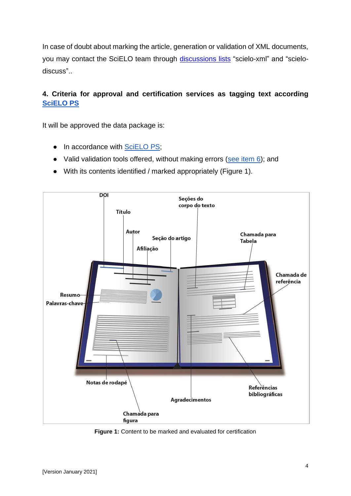In case of doubt about marking the article, generation or validation of XML documents, you may contact the SciELO team through [discussions](http://docs.scielo.org/projects/scielo-pc-programs/en/latest/support.html) lists "scielo-xml" and "scielodiscuss"..

## **4. Criteria for approval and certification services as tagging text according [SciELO PS](https://scielo.readthedocs.io/projects/scielo-publishing-schema/pt_BR/latest/narr/scielo-brasil.html)**

It will be approved the data package is:

- In accordance with [SciELO PS;](https://scielo.readthedocs.io/projects/scielo-publishing-schema/pt_BR/latest/narr/scielo-brasil.html)
- Valid validation tools offered, without making errors [\(see item 6\)](#page-4-0); and
- With its contents identified / marked appropriately (Figure 1).



**Figure 1:** Content to be marked and evaluated for certification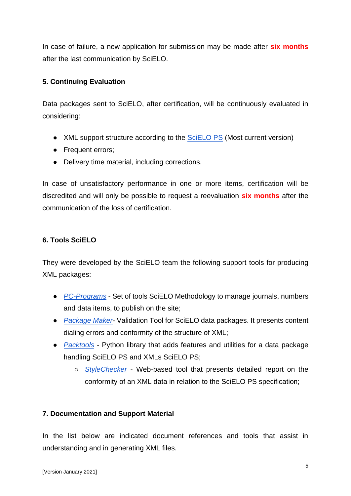In case of failure, a new application for submission may be made after **six months** after the last communication by SciELO.

## **5. Continuing Evaluation**

Data packages sent to SciELO, after certification, will be continuously evaluated in considering:

- XML support structure according to the [SciELO PS](https://scielo.readthedocs.io/projects/scielo-publishing-schema/pt_BR/latest/narr/scielo-brasil.html) (Most current version)
- Frequent errors;
- Delivery time material, including corrections.

In case of unsatisfactory performance in one or more items, certification will be discredited and will only be possible to request a reevaluation **six months** after the communication of the loss of certification.

### <span id="page-4-0"></span>**6. Tools SciELO**

They were developed by the SciELO team the following support tools for producing XML packages:

- *[PC-Programs](http://docs.scielo.org/projects/scielo-pc-programs/en/latest/)* Set of tools SciELO Methodology to manage journals, numbers and data items, to publish on the site;
- *[Package Maker](http://docs.scielo.org/projects/scielo-pc-programs/en/latest/xml_package_maker.html)* Validation Tool for SciELO data packages. It presents content dialing errors and conformity of the structure of XML;
- *[Packtools](https://github.com/scieloorg/packtools/)* Python library that adds features and utilities for a data package handling SciELO PS and XMLs SciELO PS;
	- *[StyleChecker](http://manager.scielo.org/tools/validators/stylechecker/)* Web-based tool that presents detailed report on the conformity of an XML data in relation to the SciELO PS specification;

### **7. Documentation and Support Material**

In the list below are indicated document references and tools that assist in understanding and in generating XML files.